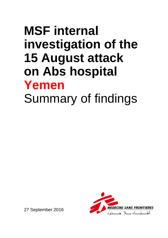# **MSF internal investigation of the 15 August attack on Abs hospital Yemen** Summary of findings



27 September 2016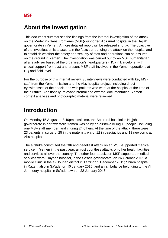## **About the investigation**

This document summarises the findings from the internal investigation of the attack on the Médecins Sans Frontières (MSF)-supported Abs rural hospital in the Hajjah governorate in Yemen. A more detailed report will be released shortly. The objective of the investigation is to ascertain the facts surrounding the attack on the hospital and to establish whether the safety and security of staff and operations can be assured on the ground in Yemen. The investigation was carried out by an MSF humanitarian affairs adviser based at the organisation's headquarters (HQ) in Barcelona, with critical support from past and present MSF staff involved in the Yemen operations at HQ and field level.

For the purpose of this internal review, 35 interviews were conducted with key MSF staff from the Yemen mission and the Abs hospital project, including direct eyewitnesses of the attack, and with patients who were at the hospital at the time of the airstrike. Additionally, relevant internal and external documentation, Yemen context analyses and photographic material were reviewed.

## **Introduction**

On Monday 15 August at 3.40pm local time, the Abs rural hospital in Hajjah governorate in northwestern Yemen was hit by an airstrike killing 19 people, including one MSF staff member, and injuring 24 others. At the time of the attack, there were 23 patients in surgery, 25 in the maternity ward, 12 in paediatrics and 13 newborns at Abs hospital.

The airstrike constituted the fifth and deadliest attack on an MSF-supported medical service in Yemen in the past year, amidst countless attacks on other health facilities and services all over the country. The other four attacks on MSF-supported medical services were: Haydan hospital, in the Sa'ada governorate, on 26 October 2015; a mobile clinic in the al-Houban district in Taizz on 2 December 2015; Shiara hospital in Razeh, also in Sa'ada, on 10 January 2016; and an ambulance belonging to the Al Jamhoory hospital in Sa'ada town on 22 January 2016.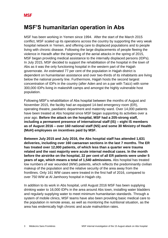## **MSF'S humanitarian operation in Abs**

MSF has been working in Yemen since 1994. After the start of the March 2015 conflict, MSF scaled up its operations across the country by supporting the very weak hospital network in Yemen, and offering care to displaced populations and to people living with chronic disease. Following the large displacements of people fleeing the violence in Haradh after the beginning of the aerial attacks in the spring of 2015, MSF began providing medical assistance to the internally displaced persons (IDPs). In July 2015, MSF decided to support the rehabilitation of the hospital in the town of Abs as it was the only functioning hospital in the western part of the Hajjah governorate. An estimated 77 per cent of the population in Hajjah district is dependent on humanitarian assistance and over two-thirds of its inhabitants are living below the national poverty line. Furthermore, Hajjah hosts the second largest concentration of IDPs in the country (after Aden and on a par with Taizz) with some 300,000 IDPs living in makeshift camps and amongst the highly vulnerable host population.

Following MSF's rehabilitation of Abs hospital between the months of August and November 2015, the facility had an equipped 14-bed emergency room (ER), operating theatre, paediatric department and maternity ward. Over 14,000 patients have been treated at Abs hospital since MSF began supporting its activities over a year ago. **Before the attack on the hospital, MSF had a 205-strong staff, including a permanent presence of international staff (IS) – eight IS members as of August 2016 – over 160 national staff (NS) and some 30 Ministry of Health (MoH) employees on incentives paid by MSF.**

**Between July 2015 and July 2016, the Abs hospital staff has attended 1,631 deliveries, including over 160 caesarean sections in the last 7 months. The ER has treated over 12,000 patients, of which less than a quarter were trauma related and the vast majority were acute internal medical cases. In the month before the airstrike on the hospital, 22 per cent of all ER patients were under 5 years of age, which means a total of 1,540 admissions.** Abs hospital has treated low numbers of war wounded (WW) patients, which reflects the predominantly civilian makeup of the population and the relative security of the area away from the frontlines. Only 161 WW cases were treated in the first half of 2016, compared to over 750 WW at Al Jamhoory hospital in Hajjah city.

In addition to its work in Abs hospital, until August 2016 MSF has been supplying drinking water to 16,000 IDPs in the area around Abs town, installing water bladders and regularly supplying water to meet minimum humanitarian standards. Through a system of mobile clinics, MSF teams have also been providing basic medical care to the population in remote areas, as well as monitoring the nutritional situation, as the area has endemically high chronic and acute malnutrition rates.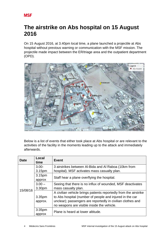# **The airstrike on Abs hospital on 15 August 2016**

On 15 August 2016, at 3.40pm local time, a plane launched a projectile at Abs hospital without previous warning or communication with the MSF mission. The projectile made impact between the ER/triage area and the outpatient department (OPD).



Below is a list of events that either took place at Abs hospital or are relevant to the activities of the facility in the moments leading up to the attack and immediately afterwards.

| <b>Date</b> | Local<br>time      | Event                                                            |  |  |  |
|-------------|--------------------|------------------------------------------------------------------|--|--|--|
| 15/08/16    | $3.00 -$           | 3 airstrikes between Al-Bida and Al Raboa (10km from             |  |  |  |
|             | 3.15pm             | hospital). MSF activates mass casualty plan.                     |  |  |  |
|             | 3.15pm             | Staff hear a plane overflying the hospital.                      |  |  |  |
|             | approx             |                                                                  |  |  |  |
|             | $3.00 -$           | Seeing that there is no influx of wounded, MSF deactivates       |  |  |  |
|             | 3.30pm             | mass casualty plan.                                              |  |  |  |
|             |                    | A civilian vehicle brings patients reportedly from the airstrike |  |  |  |
|             | 3.35pm             | to Abs hospital (number of people and injured in the car         |  |  |  |
|             | approx.            | unclear); passengers are reportedly in civilian clothes and      |  |  |  |
|             |                    | no weapons are visible inside the vehicle.                       |  |  |  |
|             | 3:35 <sub>pm</sub> | Plane is heard at lower altitude.                                |  |  |  |
|             | approx             |                                                                  |  |  |  |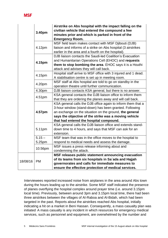|          | 3.40pm             | Airstrike on Abs hospital with the impact falling on the<br>civilian vehicle that entered the compound a few<br>minutes prior and which is parked in front of the<br><b>Emergency Room.</b>                                                                                           |
|----------|--------------------|---------------------------------------------------------------------------------------------------------------------------------------------------------------------------------------------------------------------------------------------------------------------------------------|
|          | 4.12pm             | MSF field team makes contact with MSF Djibouti (DJB)<br>liaison and informs of a strike on Abs hospital (3 airstrikes<br>earlier in the area and a fourth on the hospital).                                                                                                           |
|          | 4.15pm             | DJB liaison contacts the Saudi-led Coalition's Evacuation<br>and Humanitarian Operations Cell (EHOC) and requests<br>them to stop bombing the area. EHOC says it is a Houthi<br>attack and advises they will call back.                                                               |
|          | 4.15pm             | Hospital staff arrive to MSF office with 3 injured and 1 dead.<br>A stabilisation centre is set up in meeting room.                                                                                                                                                                   |
| 4.20pm   |                    | MSF staff at Abs hospital are told to go on standby in the<br>operation theatre until further communication.                                                                                                                                                                          |
|          | 4.30pm             | DJB liaison contacts KSA general, but there is no answer.                                                                                                                                                                                                                             |
|          | 4.51pm             | KSA general contacts the DJB liaison office to inform them<br>that they are ordering the planes away and will call back.                                                                                                                                                              |
| 4.57pm   |                    | KSA general calls the DJB office again to inform them that a<br>3-hour window (stand-down) has been granted. Following<br>an exchange on the situation on the ground, the general<br>says the objective of the strike was a moving vehicle<br>that had entered the hospital compound. |
|          | 5.11pm             | KSA general calls the DJB liaison office and extends stand-<br>down time to 4 hours, and says that MSF can ask for an<br>extension.                                                                                                                                                   |
|          | $5.15 -$<br>5.25pm | MSF team that was in the office moves to the hospital to<br>respond to medical needs and assess the damage.                                                                                                                                                                           |
|          | 10.56pm            | MSF issues a press release informing about and<br>condemning the attack.                                                                                                                                                                                                              |
| 18/08/16 | <b>PM</b>          | MSF releases public statement announcing evacuation<br>of its teams from six hospitals in Sa'ada and Hajjah<br>governorates and calls for immediate measures to<br>ensure the effective protection of medical services.                                                               |

Interviewees reported increased noise from airplanes in the area around Abs town during the hours leading up to the airstrike. Some MSF staff indicated the presence of planes overflying the hospital complex around prayer time (i.e. around 3.15pm local time). Previously, between around 3pm and 3.15pm local time, there had been three airstrikes between the villages of Al-Raboa and Al-Bidah, which had been targeted in the past. Reports about the airstrikes reached Abs hospital, initially indicating a hit on a market in Beni Hassan. Consequently, a mass casualty plan was initiated. A mass casualty is any incident in which resources for emergency medical services, such as personnel and equipment, are overwhelmed by the number and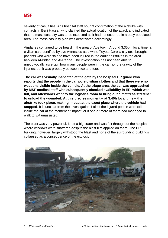severity of casualties. Abs hospital staff sought confirmation of the airstrike with contacts in Beni Hassan who clarified the actual location of the attack and indicated that no mass casualty was to be expected as it had not occurred in a busy populated area. The mass casualty plan was deactivated accordingly.

Airplanes continued to be heard in the area of Abs town. Around 3.35pm local time, a civilian car, identified by eye witnesses as a white Toyota Corolla city taxi, brought in patients who were said to have been injured in the earlier airstrikes in the area between Al-Bidah and Al-Raboa. The investigation has not been able to unequivocally ascertain how many people were in the car nor the gravity of the injuries, but it was probably between two and four.

**The car was visually inspected at the gate by the hospital ER guard who reports that the people in the car wore civilian clothes and that there were no weapons visible inside the vehicle. At the triage area, the car was approached by MSF medical staff who subsequently checked availability in ER, which was full, and afterwards went to the logistics room to bring out a mattress/stretcher to unload the wounded. At this precise moment – at 3.40h local time – the airstrike took place, making impact at the exact place where the vehicle had stopped**. It is unclear from the investigation if all of the injured people were still inside the car at the moment of impact, or if one or more of them had managed to walk to ER unassisted.

The blast was very powerful. It left a big crater and was felt throughout the hospital, where windows were shattered despite the blast film applied on them. The ER building, however, largely withstood the blast and none of the surrounding buildings collapsed as a consequence of the explosion.

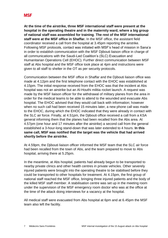**At the time of the airstrike, three MSF international staff were present at the hospital in the operating theatre and in the maternity ward, where a big group of national staff was assembled for training**. **The rest of the MSF international staff were at the MSF office in Shaffar.** In the MSF office, the assistant field coordinator received a call from the hospital at 3.45pm reporting the airstrike. Following MSF protocols, contact was initiated with MSF's head of mission in Sana'a in order to establish communication with the MSF Djibouti liaison office in charge of all communications with the Saudi-Led Coalition's (SLC) Evacuation and Humanitarian Operations Cell (EHOC). Further direct communication between MSF staff at Abs hospital and the MSF office took place at 4pm and instructions were given to all staff to shelter in the OT as per security protocols.

Communication between the MSF office in Shaffar and the Djibouti liaison office was made at 4.12pm and the first telephone contact with the EHOC was established at 4.15pm. The initial response received from the EHOC was that the incident at Abs hospital was not an airstrike but an Al-Houthi militia rocket launch. A request was made by the MSF liaison officer for the withdrawal of military planes from the area in order for the medical teams to be able to attend to the wounded and evacuate Abs hospital. The EHOC advised that they would call back with information; however when no such call had been received 15 minutes later, a new phone call was made to the EHOC, during which the EHOC indicated that they were already in contact with the SLC air force. Finally, at 4.51pm, the Djibouti office received a call from a KSA general informing them that the planes had been recalled from the Abs area. At 4.57pm (one hour and 17 minutes after the airstrike) a second call from the general established a 3-hour-long stand-down that was later extended to 4 hours. **In this same call, MSF was notified that the target was the vehicle that had arrived shortly before the airstrike.**

At 4.59pm, the Djibouti liaison officer informed the MSF team that the SLC air force had been recalled from the town of Abs, and the team prepared to move to Abs hospital, arriving there at 5.25pm.

In the meantime, at Abs hospital, patients had already begun to be transported to nearby private clinics and other health centres in private vehicles. Other severely injured patients were brought into the operating theatre to be stabilised before they could be transported to other hospitals for treatment. At 4.15pm, the first group of national staff reached the MSF office, bringing three injured patients and the body of the killed MSF staff member. A stabilisation centre was set up in the meeting room under the supervision of the MSF emergency room doctor who was at the office at the time of the attack doing interviews for a vacancy at the hospital.

All medical staff were evacuated from Abs hospital at 6pm and at 6.45pm the MSF team also left the facility.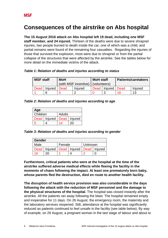## **Consequences of the airstrike on Abs hospital**

**The 15 August 2016 attack on Abs hospital left 19 dead, including one MSF staff member, and 24 injured.** Thirteen of the deaths were due to severe shrapnel injuries, two people burned to death inside the car, one of which was a child, and partial remains were found of the remaining four casualties. Regarding the injuries of those that survived the explosion, most were due to shrapnel or from the partial collapse of the structures that were affected by the airstrike. See the tables below for more detail on the immediate victims of the attack.

*Table 1: Relation of deaths and injuries according to status*

| <b>MSF staff</b> |                | <b>MoH</b>                          |         | <b>MoH</b> staff |                       | <b>Patients/caretakers</b> |         |
|------------------|----------------|-------------------------------------|---------|------------------|-----------------------|----------------------------|---------|
|                  |                | (with MSF incentive)   (volunteers) |         |                  |                       |                            |         |
|                  | Dead   Injured | ∣ Dead                              | Injured |                  | Dead   Injured   Dead |                            | Injured |
|                  | 6              |                                     |         |                  |                       |                            | 13      |

*Table 2: Relation of deaths and injuries according to age*

| Age      |                                 |        |              |  |
|----------|---------------------------------|--------|--------------|--|
| Children |                                 | Adults |              |  |
|          | Dead   Injured   Dead   Injured |        |              |  |
| 5        |                                 |        | $20^{\circ}$ |  |

*Table 3: Relation of deaths and injuries according to gender*

| <b>Gender</b> |                                                  |        |  |         |  |
|---------------|--------------------------------------------------|--------|--|---------|--|
| Male          |                                                  | Female |  | Unknown |  |
|               | Dead   Injured   Dead   Injured   Dead   Injured |        |  |         |  |
| 16            |                                                  |        |  |         |  |

**Furthermore, critical patients who were at the hospital at the time of the airstrike suffered adverse medical effects while fleeing the facility in the moments of chaos following the impact. At least one prematurely born baby, whose parents fled the destruction, died en route to another health facility.** 

**The disruption of health service provision was also considerable in the days following the attack with the reduction of MSF personnel and the damage to the physical structures of the hospital.** The hospital was closed instantly after the airstrike. All the patients ran away following the blast. The hospital remained empty and inoperative for 11 days. On 26 August, the emergency room, the maternity and the laboratory services reopened. Still, attendance at the hospital was significantly reduced as patients continued to feel unsafe in the facility (see table below). By way of example, on 29 August, a pregnant woman in the last stage of labour and about to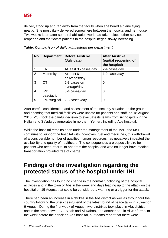

deliver, stood up and ran away from the facility when she heard a plane flying nearby. She most likely delivered somewhere between the hospital and her house. Two weeks later, after some rehabilitation work had taken place, other services reopened and the flow of patients to the hospital began slowly increasing.

| No.            | <b>Department</b>        | <b>Before Airstrike</b><br>(July data) | <b>After Airstrike</b><br>(partial reopening of<br>the hospital) |
|----------------|--------------------------|----------------------------------------|------------------------------------------------------------------|
| 1              | ER                       | At least 35 cases/day                  | 2-4 cases/day                                                    |
| $\overline{2}$ | Maternity                | At least 6<br>deliveries/day           | 1-2 cases/day                                                    |
| 3              | OT                       | 2-3 cases on<br>average/day            | 0                                                                |
| $\overline{4}$ | <b>IPD</b><br>paediatric | 3-4 cases/day                          | 0                                                                |
| 5              | <b>IPD</b> surgical      | 2-3 cases /day                         |                                                                  |

*Table: Comparison of daily admissions per department*

After careful consideration and assessment of the security situation on the ground, and deeming that medical facilities were unsafe for patients and staff, on 18 August 2016, MSF took the painful decision to evacuate its teams from six hospitals in the Hajjah and Sa'ada governorates in northern Yemen, including Abs hospital.

While the hospital remains open under the management of the MoH and MSF continues to support the hospital with incentives, fuel and medicines, this withdrawal of a considerable number of qualified human resources has negatively impacted the availability and quality of healthcare. The consequences are especially dire for patients who need referral to and from the hospital and who no longer have medical transportation provided free of charge.

# **Findings of the investigation regarding the protected status of the hospital under IHL**

The investigation has found no change in the normal functioning of the hospital activities and in the town of Abs in the week and days leading up to the attack on the hospital on 15 August that could be considered a warning or a trigger for the attack.

There had been an increase in airstrikes in the Abs district as well as throughout the country following the unsuccessful end of the latest round of peace talks in Kuwait on 6 August. During the first week of August, two airstrikes took place in Abs district: one in the area between Al-Bidah and Al-Raboa, and another one in Al-Jar farms. In the week before the attack on Abs hospital, our teams report that there were 11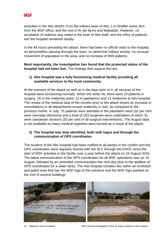

airstrikes in the Abs district: 6 on the military base of Abs, 1 in Shaffer some 2km from the MSF office, and the rest in Al-Jar farms and Matwalah. However, no escalation of violence was noted in the town of Abs itself, and the influx of patients into the hospital remained steady.

In the 48 hours preceding the attack, there had been no official visits to the hospital, no personalities passing through the town, no abnormal military activity, no unusual movement of population in the area, and no increase of WW patients.

**Most importantly, the investigation has found that the protected status of the hospital had not been lost**. The findings that support this are:

#### **1) Abs hospital was a fully functioning medical facility providing all available services to the local community.**

At the moment of the attack as well as in the days prior to it, all services of the hospital were functioning normally. When the strike hit, there were 23 patients in surgery, 25 in the maternity ward, 12 in paediatrics and 13 newborns at Abs hospital. The review of the medical data of the months prior to the attack shows an increase in consultations in all departments except maternity in July, as compared to the previous month. In July, 75 patients were admitted in the paediatric ward (32 per cent were neonatal infections) and a total of 153 surgeries were undertaken of which 31 were caesarean sections (20 per cent of all surgical interventions). The August data is not available as many medical registries were burned as a result of the attack.

#### **2) The hospital was duly identified, both with logos and through the communication of GPS coordinates**

The location of the Abs hospital had been notified to all parties in the conflict and the GPS coordinates were regularly shared with the SLC through the EHOC since the start of MSF activities in the facility over a year before the attack on 15 August 2016. The latest communication of the GPS coordinates for all MSF operations was on 10 August, followed by an amended communication the next day (due to the addition of GPS coordinates for a water tank). The Abs hospital complex lies within an enclosed and gated area that has the MSF logo at the entrance and the MSF logo painted on the roof of several buildings.



10 Médecins Sans Frontières MSF internal investigation of the 15 August attack on Abs hospital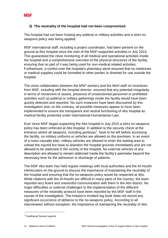#### **3) The neutrality of the hospital had not been compromised**

The hospital had not been hosting any political or military activities and a strict noweapons policy was being applied.

MSF international staff, including a project coordinator, had been present on the ground at Abs hospital since the start of the MSF-supported activities in July 2015. This guaranteed the close monitoring of all medical and operational activities inside the hospital and a comprehensive overview of the physical structures of the facility, ensuring that no part of it was being used for non-medical related activities. Furthermore, a control over the hospital's pharmacy stock ensured that no medicines or medical supplies could be funnelled to other parties or diverted for use outside the hospital.

The close collaboration between the MSF workers and the MoH staff on incentives from MSF, including with the hospital director, ensured that any potential irregularity in terms of movement of assets, presence of unsanctioned personnel or prohibited activities such as political or military gatherings inside the facility would have been quickly detected and reported. No such instances have been discovered by this investigation and, on the contrary, all possible measures appear to have been implemented to ensure the transparent and neutral functioning of Abs hospital as medical facility protected under International Humanitarian Law.

Ever since MSF began supporting the Abs hospital in July 2015 a strict no-weapons policy has been enforced at Abs hospital. In addition to the security check at the entrance where all weapons, including jambiyas<sup>1</sup>, have to be left before accessing the facility, no military uniforms or vehicles are allowed on the premises. In an event of a mass casualty plan, military vehicles are allowed to enter the waiting area to unload the injured but have to abandon the hospital grounds immediately and are not allowed to be stationed in the vicinity of the hospital. No external vehicles of any description are allowed to remain stationed inside the facility's perimeter beyond the necessary time for the admission or discharge of patients.

The MSF Abs team has held regular meetings with local authorities and the Al-Houthi interlocutors on the ground to discuss the importance of maintaining the neutrality of the hospital and ensuring that the no-weapons policy would be respected at Abs. While relations with the Al-Houthi are difficult in many parts of the country, the team reported very fluent and uneventful communication with them in the Abs district. No major difficulties or external challenges to the implementation of the different measures of the neutrality protocol have been reported by the MSF staff in the course of the investigation. The mission's incident log book does not record any significant occurrence of defiance to the no-weapons policy. According to all interviewees without exception, the importance of maintaining the neutrality of Abs

1

<sup>1</sup> Traditional Yemeni swords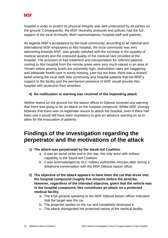hospital in order to protect its physical integrity was well understood by all parties on the ground. Consequently, the MSF neutrality protocols and policies had the full support of the local Al-Houthi, MoH representatives, hospital staff and patients.

As regards MSF's acceptance by the local community, according to all national and international MSF employees at Abs hospital, the local community was very welcoming towards MSF, was greatly satisfied with the increase in the quantity of medical services and the improved quality of the medical care provided at the hospital. The provision of free treatment and transportation for referred patients coming to Abs hospital from the remote areas were very much valued in an area of Yemen where poverty levels are extremely high, malnutrition rates are staggering and adequate health care is sorely missing. Last but not least, there was a shared belief among the local staff, Abs community and hospital patients that the MSF's support to the facility and the permanent presence of MSF would provide Abs hospital with protection from airstrikes.

#### **4) No notification or warning was received of the impending attack**

Neither teams on the ground nor the liaison officer in Djibouti received any warning that there was going to be an attack on the hospital compound. Whilst MSF strongly believes that there was no legitimate reason to attack the hospital, even if there had been one it would still have been mandatory to give an advance warning so as to allow for the evacuation of patients.

## **Findings of the investigation regarding the perpetrator and the motivations of the attack**

- **1) The attack was perpetrated by the Saudi-led Coalition**
	- a. It was an aerial strike and in this war, the only actor with military capability is the Saudi-led Coalition.
	- b. It was acknowledged by SLC military authorities minutes after during a telephone conversation with the MSF Djibouti liaison office.
- **2) The objective of the attack appears to have been the car that drove into the hospital compound roughly five minutes before the airstrike. However, regardless of the intended objective, given that the vehicle was in the hospital compound, this constitutes an attack on a protected medical facility.**
	- a. The KSA general speaking to the MSF Djibouti liaison officer indicated that the target was the car.
	- b. The projectile landed on the car and completely destroyed it.
	- c. The attack disregarded the protected nature of the medical facility.